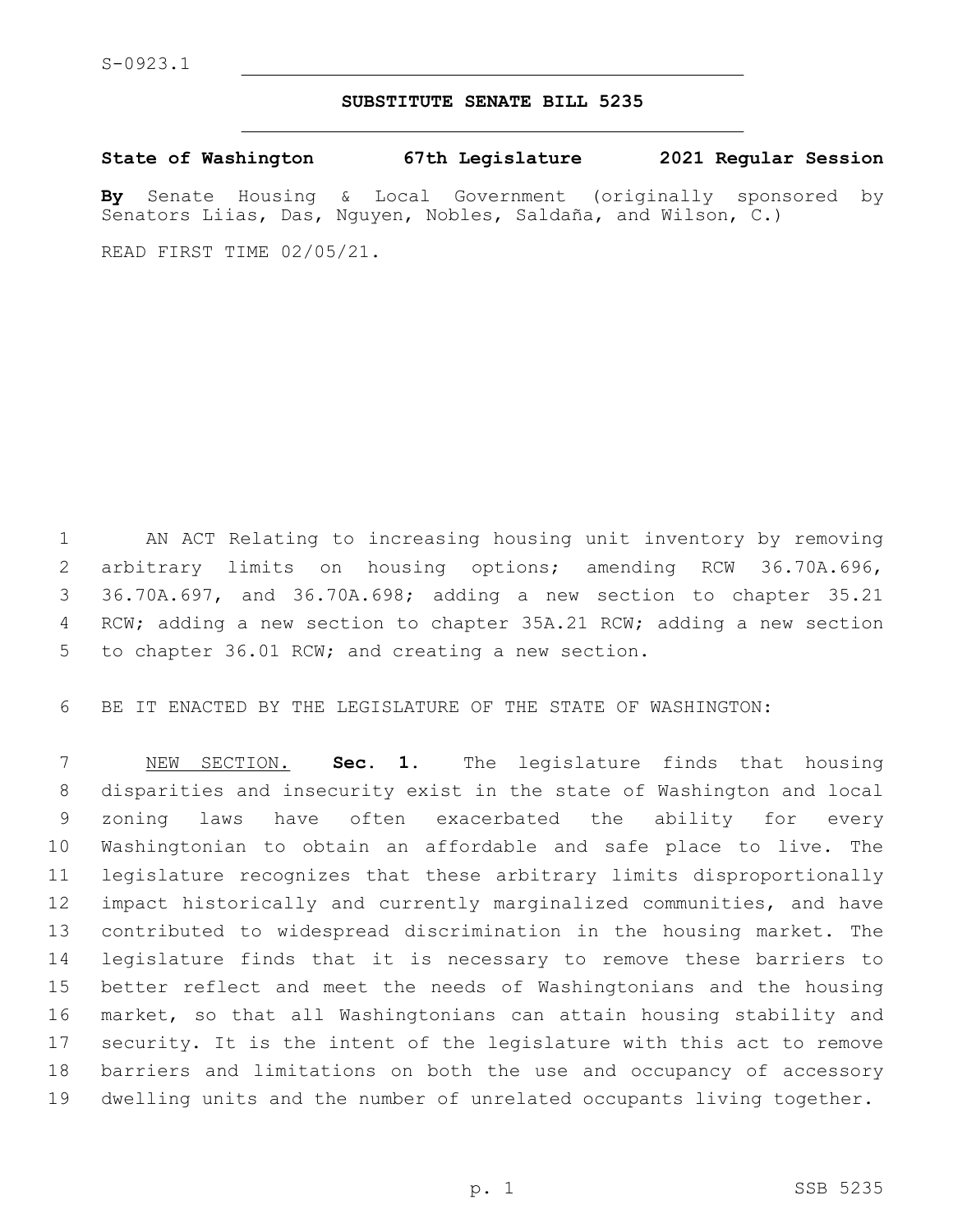## **SUBSTITUTE SENATE BILL 5235**

**State of Washington 67th Legislature 2021 Regular Session**

**By** Senate Housing & Local Government (originally sponsored by Senators Liias, Das, Nguyen, Nobles, Saldaña, and Wilson, C.)

READ FIRST TIME 02/05/21.

 AN ACT Relating to increasing housing unit inventory by removing arbitrary limits on housing options; amending RCW 36.70A.696, 36.70A.697, and 36.70A.698; adding a new section to chapter 35.21 RCW; adding a new section to chapter 35A.21 RCW; adding a new section 5 to chapter 36.01 RCW; and creating a new section.

BE IT ENACTED BY THE LEGISLATURE OF THE STATE OF WASHINGTON:

 NEW SECTION. **Sec. 1.** The legislature finds that housing disparities and insecurity exist in the state of Washington and local zoning laws have often exacerbated the ability for every Washingtonian to obtain an affordable and safe place to live. The legislature recognizes that these arbitrary limits disproportionally impact historically and currently marginalized communities, and have contributed to widespread discrimination in the housing market. The legislature finds that it is necessary to remove these barriers to better reflect and meet the needs of Washingtonians and the housing market, so that all Washingtonians can attain housing stability and security. It is the intent of the legislature with this act to remove barriers and limitations on both the use and occupancy of accessory dwelling units and the number of unrelated occupants living together.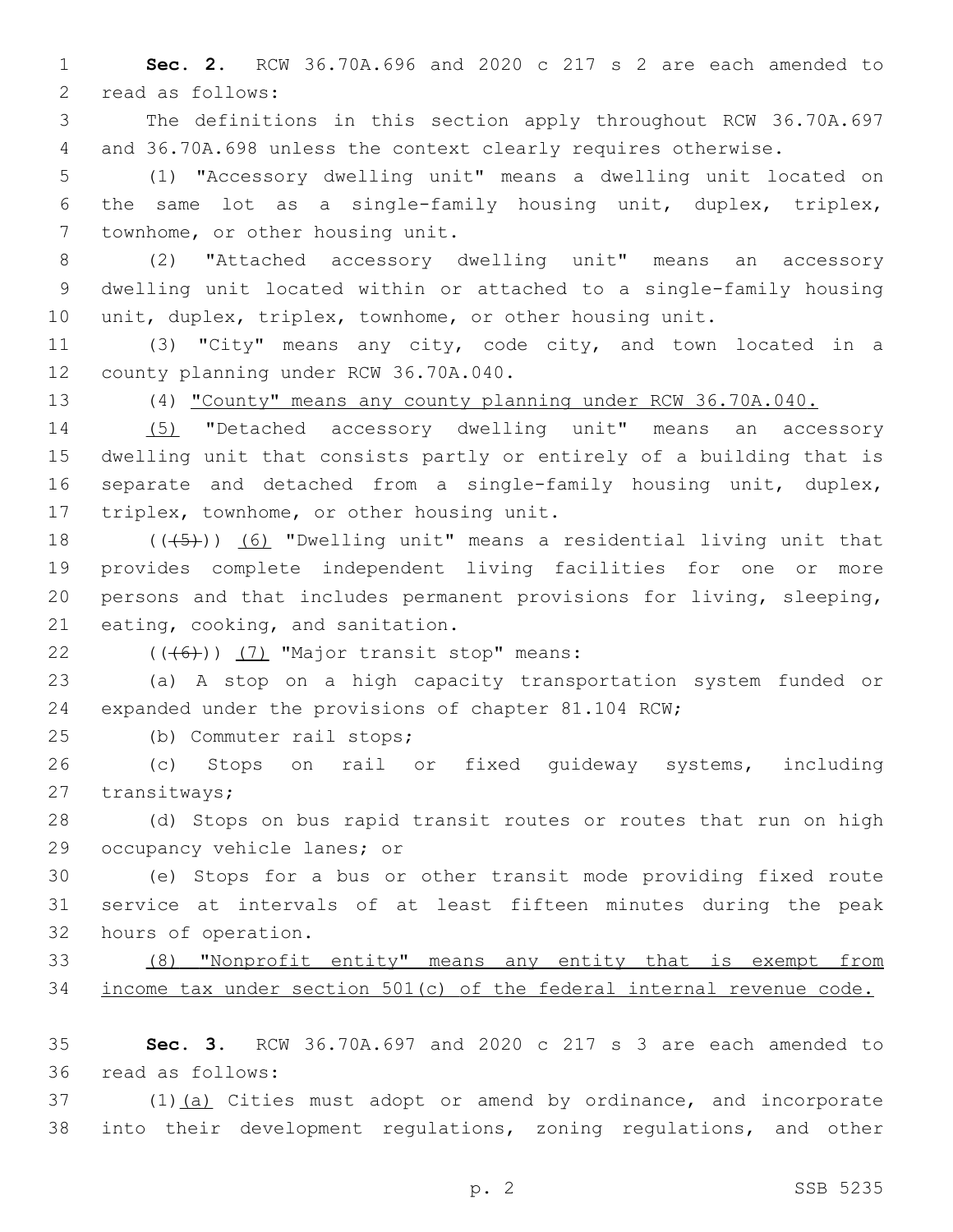**Sec. 2.** RCW 36.70A.696 and 2020 c 217 s 2 are each amended to 2 read as follows:

 The definitions in this section apply throughout RCW 36.70A.697 and 36.70A.698 unless the context clearly requires otherwise.

 (1) "Accessory dwelling unit" means a dwelling unit located on the same lot as a single-family housing unit, duplex, triplex, 7 townhome, or other housing unit.

 (2) "Attached accessory dwelling unit" means an accessory dwelling unit located within or attached to a single-family housing unit, duplex, triplex, townhome, or other housing unit.

 (3) "City" means any city, code city, and town located in a 12 county planning under RCW 36.70A.040.

(4) "County" means any county planning under RCW 36.70A.040.

 (5) "Detached accessory dwelling unit" means an accessory dwelling unit that consists partly or entirely of a building that is separate and detached from a single-family housing unit, duplex, 17 triplex, townhome, or other housing unit.

 $((+5+))$  (6) "Dwelling unit" means a residential living unit that provides complete independent living facilities for one or more persons and that includes permanent provisions for living, sleeping, 21 eating, cooking, and sanitation.

 $(46)$ ) (7) "Major transit stop" means:

 (a) A stop on a high capacity transportation system funded or expanded under the provisions of chapter 81.104 RCW;

25 (b) Commuter rail stops;

 (c) Stops on rail or fixed guideway systems, including 27 transitways;

 (d) Stops on bus rapid transit routes or routes that run on high 29 occupancy vehicle lanes; or

 (e) Stops for a bus or other transit mode providing fixed route service at intervals of at least fifteen minutes during the peak 32 hours of operation.

 (8) "Nonprofit entity" means any entity that is exempt from income tax under section 501(c) of the federal internal revenue code.

 **Sec. 3.** RCW 36.70A.697 and 2020 c 217 s 3 are each amended to 36 read as follows:

 (1)(a) Cities must adopt or amend by ordinance, and incorporate into their development regulations, zoning regulations, and other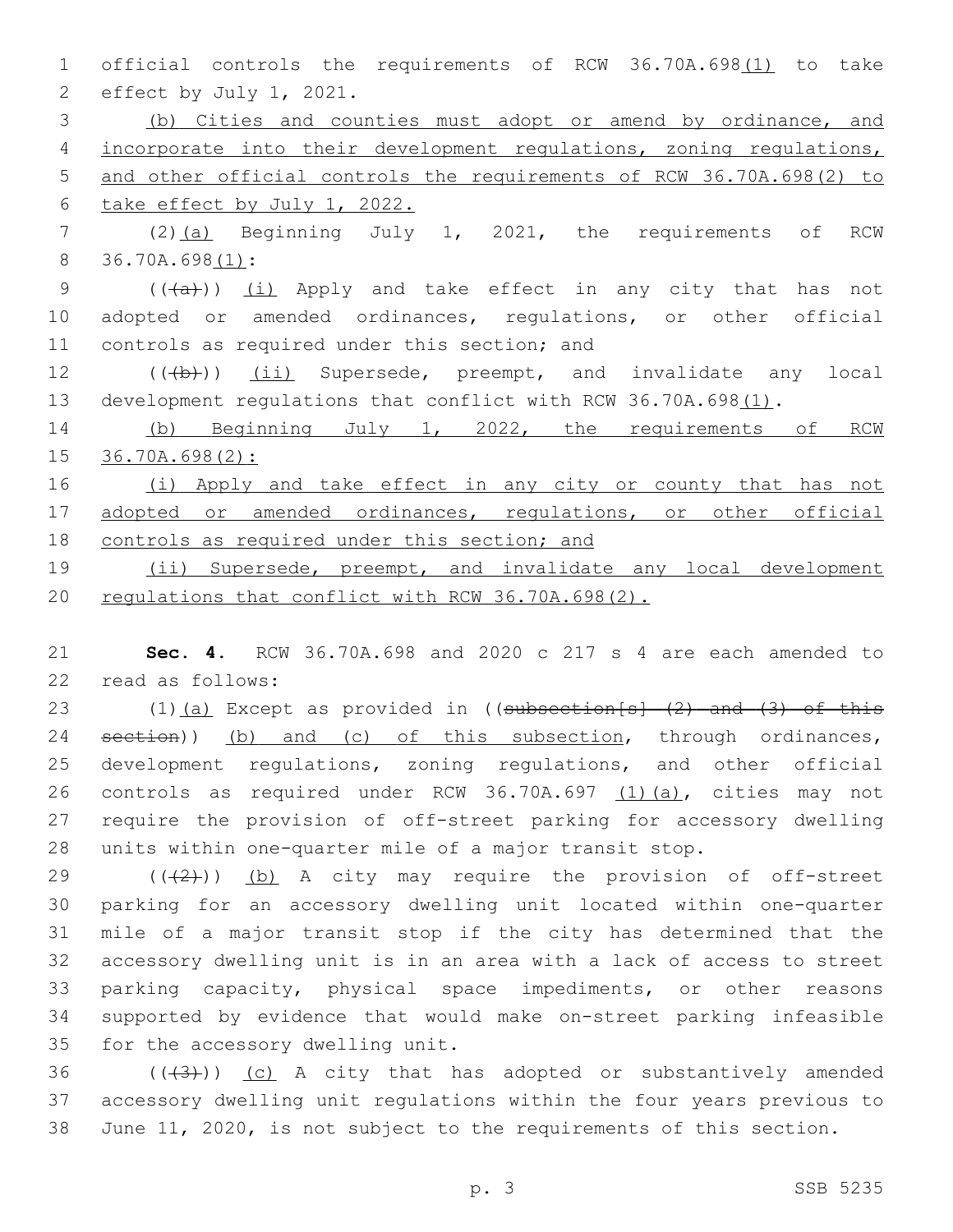1 official controls the requirements of RCW 36.70A.698(1) to take 2 effect by July 1, 2021. 3 (b) Cities and counties must adopt or amend by ordinance, and 4 incorporate into their development regulations, zoning regulations, 5 and other official controls the requirements of RCW 36.70A.698(2) to 6 take effect by July 1, 2022. 7 (2)(a) Beginning July 1, 2021, the requirements of RCW 8 36.70A.698(1): 9 (((a)) (i) Apply and take effect in any city that has not 10 adopted or amended ordinances, regulations, or other official 11 controls as required under this section; and 12 (((b)) (ii) Supersede, preempt, and invalidate any local 13 development regulations that conflict with RCW 36.70A.698(1). 14 (b) Beginning July 1, 2022, the requirements of RCW 15 36.70A.698(2): 16 (i) Apply and take effect in any city or county that has not 17 adopted or amended ordinances, regulations, or other official 18 controls as required under this section; and 19 (ii) Supersede, preempt, and invalidate any local development 20 regulations that conflict with RCW 36.70A.698(2).

21 **Sec. 4.** RCW 36.70A.698 and 2020 c 217 s 4 are each amended to 22 read as follows:

23 (1)(a) Except as provided in ((subsection[s] (2) and (3) of this 24 section)) (b) and (c) of this subsection, through ordinances, development regulations, zoning regulations, and other official controls as required under RCW 36.70A.697 (1)(a), cities may not require the provision of off-street parking for accessory dwelling units within one-quarter mile of a major transit stop.

 $((+2+))$  (b) A city may require the provision of off-street parking for an accessory dwelling unit located within one-quarter mile of a major transit stop if the city has determined that the accessory dwelling unit is in an area with a lack of access to street parking capacity, physical space impediments, or other reasons supported by evidence that would make on-street parking infeasible 35 for the accessory dwelling unit.

36  $((+3+))$  (c) A city that has adopted or substantively amended 37 accessory dwelling unit regulations within the four years previous to 38 June 11, 2020, is not subject to the requirements of this section.